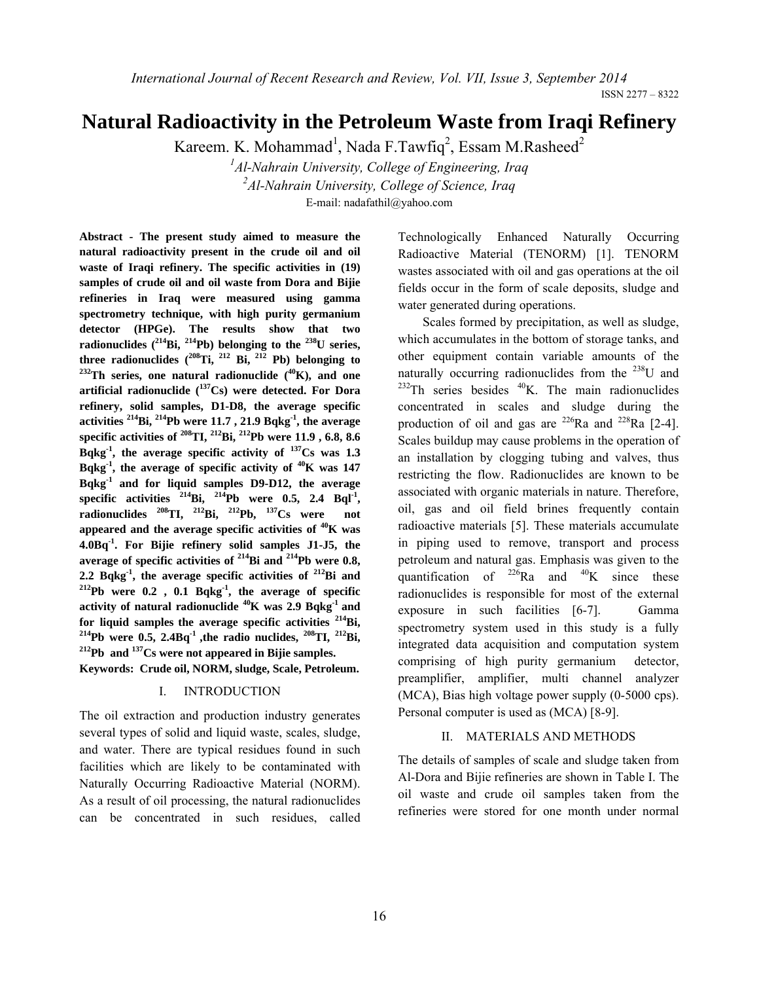ISSN 2277 – 8322

# **Natural Radioactivity in the Petroleum Waste from Iraqi Refinery**

Kareem. K. Mohammad<sup>1</sup>, Nada F.Tawfiq<sup>2</sup>, Essam M.Rasheed<sup>2</sup>

*1 Al-Nahrain University, College of Engineering, Iraq 2 Al-Nahrain University, College of Science, Iraq* E-mail: nadafathil@yahoo.com

**Abstract - The present study aimed to measure the natural radioactivity present in the crude oil and oil waste of Iraqi refinery. The specific activities in (19) samples of crude oil and oil waste from Dora and Bijie refineries in Iraq were measured using gamma spectrometry technique, with high purity germanium detector (HPGe). The results show that two**  radionuclides (<sup>214</sup>Bi, <sup>214</sup>Pb) belonging to the <sup>238</sup>U series, three radionuclides (<sup>208</sup>Ti, <sup>212</sup> Bi, <sup>212</sup> Pb) belonging to <sup>232</sup>Th series, one natural radionuclide (<sup>40</sup>K), and one **artificial radionuclide (137Cs) were detected. For Dora refinery, solid samples, D1-D8, the average specific activities 214Bi, 214Pb were 11.7 , 21.9 Bqkg-1, the average specific activities of <sup>208</sup>TI, <sup>212</sup>Bi, <sup>212</sup>Pb were 11.9, 6.8, 8.6 Bqkg-1, the average specific activity of 137Cs was 1.3 Bqkg-1, the average of specific activity of 40K was 147 Bqkg-1 and for liquid samples D9-D12, the average specific activities** <sup>214</sup>Bi, <sup>214</sup>Pb were 0.5, 2.4 Bql<sup>-1</sup>, **radionuclides 208TI, 212Bi, 212Pb, 137Cs were not appeared and the average specific activities of 40K was 4.0Bq-1. For Bijie refinery solid samples J1-J5, the average of specific activities of 214Bi and 214Pb were 0.8, 2.2 Bqkg-1, the average specific activities of 212Bi and 212Pb were 0.2 , 0.1 Bqkg-1, the average of specific activity of natural radionuclide 40K was 2.9 Bqkg-1 and**  <sup>214</sup>Pb were 0.5, 2.4Bq<sup>-1</sup> ,the radio nuclides, <sup>208</sup>TI, <sup>212</sup>Bi, <sup>212</sup>Pb and <sup>137</sup>Cs were not appeared in Bijie samples.

**Keywords: Crude oil, NORM, sludge, Scale, Petroleum.** 

#### I. INTRODUCTION

The oil extraction and production industry generates several types of solid and liquid waste, scales, sludge, and water. There are typical residues found in such facilities which are likely to be contaminated with Naturally Occurring Radioactive Material (NORM). As a result of oil processing, the natural radionuclides can be concentrated in such residues, called

Technologically Enhanced Naturally Occurring Radioactive Material (TENORM) [1]. TENORM wastes associated with oil and gas operations at the oil fields occur in the form of scale deposits, sludge and water generated during operations.

Scales formed by precipitation, as well as sludge, which accumulates in the bottom of storage tanks, and other equipment contain variable amounts of the naturally occurring radionuclides from the  $^{238}$ U and  $^{232}$ Th series besides  $^{40}$ K. The main radionuclides concentrated in scales and sludge during the production of oil and gas are  $^{226}$ Ra and  $^{228}$ Ra [2-4]. Scales buildup may cause problems in the operation of an installation by clogging tubing and valves, thus restricting the flow. Radionuclides are known to be associated with organic materials in nature. Therefore, oil, gas and oil field brines frequently contain radioactive materials [5]. These materials accumulate in piping used to remove, transport and process petroleum and natural gas. Emphasis was given to the quantification of  $^{226}Ra$  and  $^{40}K$  since these radionuclides is responsible for most of the external exposure in such facilities [6-7]. Gamma spectrometry system used in this study is a fully integrated data acquisition and computation system comprising of high purity germanium detector, preamplifier, amplifier, multi channel analyzer (MCA), Bias high voltage power supply (0-5000 cps). Personal computer is used as (MCA) [8-9].

# II. MATERIALS AND METHODS

The details of samples of scale and sludge taken from Al-Dora and Bijie refineries are shown in Table I. The oil waste and crude oil samples taken from the refineries were stored for one month under normal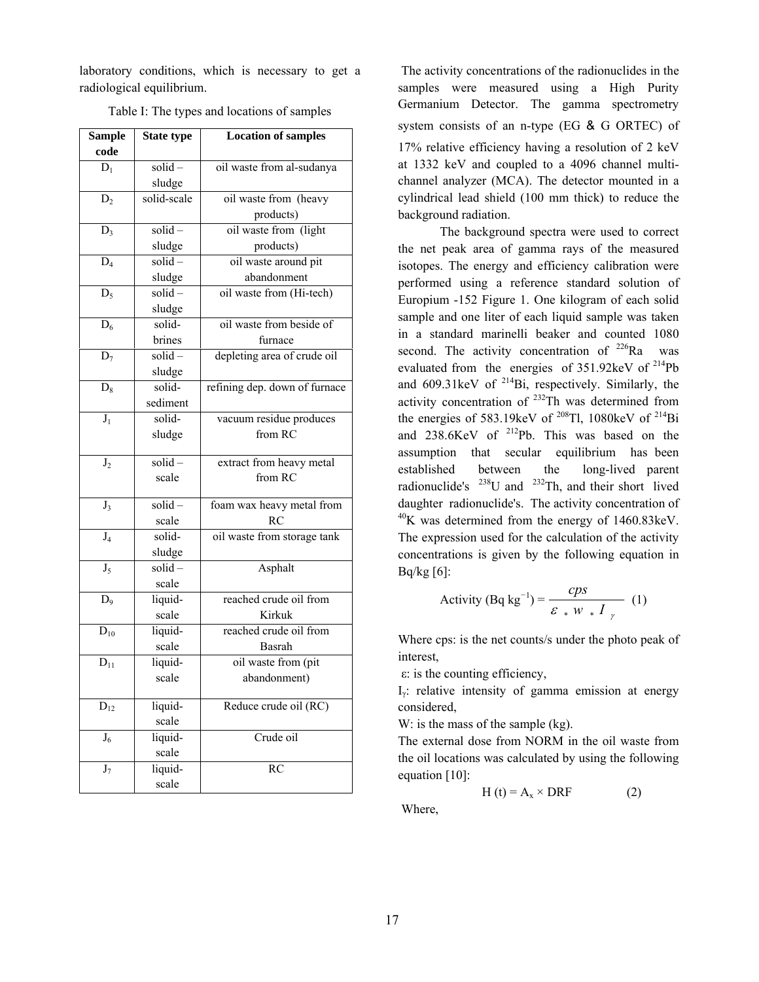laboratory conditions, which is necessary to get a radiological equilibrium.

| <b>Sample</b>    | <b>State type</b> | <b>Location of samples</b>    |  |  |
|------------------|-------------------|-------------------------------|--|--|
| code             |                   |                               |  |  |
| $D_1$            | $solid -$         | oil waste from al-sudanya     |  |  |
|                  | sludge            |                               |  |  |
| $D_2$            | solid-scale       | oil waste from (heavy         |  |  |
|                  |                   | products)                     |  |  |
| $D_3$            | $solid -$         | oil waste from (light         |  |  |
|                  | sludge            | products)                     |  |  |
| $D_4$            | $solid -$         | oil waste around pit          |  |  |
|                  | sludge            | abandonment                   |  |  |
| $D_5$            | $solid -$         | oil waste from (Hi-tech)      |  |  |
|                  | sludge            |                               |  |  |
| $D_6$            | solid-            | oil waste from beside of      |  |  |
|                  | brines            | furnace                       |  |  |
| $D_7$            | $solid -$         | depleting area of crude oil   |  |  |
|                  | sludge            |                               |  |  |
| $D_8$            | solid-            | refining dep. down of furnace |  |  |
|                  | sediment          |                               |  |  |
| $\overline{J_1}$ | solid-            | vacuum residue produces       |  |  |
|                  | sludge            | from RC                       |  |  |
|                  |                   |                               |  |  |
| J <sub>2</sub>   | $solid -$         | extract from heavy metal      |  |  |
|                  | scale             | from RC                       |  |  |
| $J_3$            | $solid -$         | foam wax heavy metal from     |  |  |
|                  | scale             | RC                            |  |  |
| $J_4$            | solid-            | oil waste from storage tank   |  |  |
|                  | sludge            |                               |  |  |
| $J_5$            | $solid -$         | Asphalt                       |  |  |
|                  | scale             |                               |  |  |
| $D_9$            | liquid-           | reached crude oil from        |  |  |
|                  | scale             | Kirkuk                        |  |  |
| $D_{10}$         | liquid-           | reached crude oil from        |  |  |
|                  | scale             | Basrah                        |  |  |
| $D_{11}$         | liquid-           | oil waste from (pit           |  |  |
|                  | scale             | abandonment)                  |  |  |
|                  |                   |                               |  |  |
| $D_{12}$         | liquid-           | Reduce crude oil (RC)         |  |  |
|                  | scale             |                               |  |  |
| $J_6$            | liquid-           | Crude oil                     |  |  |
|                  | scale             |                               |  |  |
| $\mathbf{J}_7$   | liquid-           | RC                            |  |  |
|                  | scale             |                               |  |  |

Table I: The types and locations of samples

 The activity concentrations of the radionuclides in the samples were measured using a High Purity Germanium Detector. The gamma spectrometry system consists of an n-type (EG & G ORTEC) of 17% relative efficiency having a resolution of 2 keV at 1332 keV and coupled to a 4096 channel multichannel analyzer (MCA). The detector mounted in a cylindrical lead shield (100 mm thick) to reduce the background radiation.

The background spectra were used to correct the net peak area of gamma rays of the measured isotopes. The energy and efficiency calibration were performed using a reference standard solution of Europium -152 Figure 1. One kilogram of each solid sample and one liter of each liquid sample was taken in a standard marinelli beaker and counted 1080 second. The activity concentration of  $226Ra$  was evaluated from the energies of  $351.92$ keV of  $^{214}Pb$ and  $609.31 \text{keV}$  of  $^{214}Bi$ , respectively. Similarly, the activity concentration of  $^{232}$ Th was determined from the energies of 583.19keV of  $^{208}$ Tl, 1080keV of  $^{214}$ Bi and 238.6KeV of <sup>212</sup>Pb. This was based on the assumption that secular equilibrium has been established between the long-lived parent radionuclide's 238U and 232Th, and their short lived daughter radionuclide's. The activity concentration of  $^{40}$ K was determined from the energy of 1460.83 keV. The expression used for the calculation of the activity concentrations is given by the following equation in Bq/kg [6]:

Activity 
$$
(Bq \text{ kg}^{-1}) = \frac{cps}{\varepsilon * W * I}
$$
 (1)

Where cps: is the net counts/s under the photo peak of interest,

ε: is the counting efficiency,

Iγ: relative intensity of gamma emission at energy considered,

W: is the mass of the sample (kg).

The external dose from NORM in the oil waste from the oil locations was calculated by using the following equation [10]:

$$
H(t) = A_x \times DRF
$$
 (2)

Where,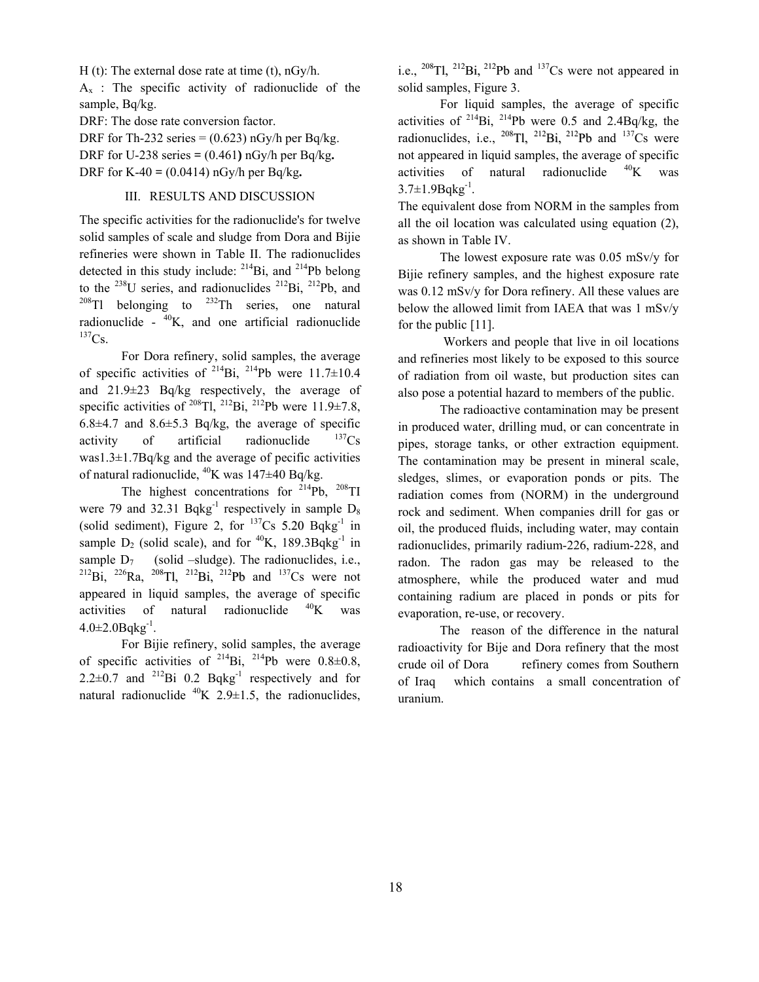H (t): The external dose rate at time (t), nGy/h.

 $A_x$ : The specific activity of radionuclide of the sample, Bq/kg.

DRF: The dose rate conversion factor.

DRF for Th-232 series  $= (0.623)$  nGy/h per Bq/kg. DRF for U-238 series  $= (0.461)$  nGy/h per Bq/kg. DRF for K-40 **=** (0.0414) nGy/h per Bq/kg**.** 

#### III. RESULTS AND DISCUSSION

The specific activities for the radionuclide's for twelve solid samples of scale and sludge from Dora and Bijie refineries were shown in Table II. The radionuclides detected in this study include:  $^{214}Bi$ , and  $^{214}Pb$  belong to the  $^{238}$ U series, and radionuclides  $^{212}$ Bi,  $^{212}$ Pb, and  $^{208}$ Tl belonging to  $^{232}$ Th series, one natural radionuclide -  $^{40}K$ , and one artificial radionuclide  $^{137}Cs.$ 

For Dora refinery, solid samples, the average of specific activities of  $^{214}Bi$ ,  $^{214}Pb$  were 11.7 $\pm$ 10.4 and 21.9±23 Bq/kg respectively, the average of specific activities of <sup>208</sup>Tl, <sup>212</sup>Bi, <sup>212</sup>Pb were 11.9±7.8, 6.8 $\pm$ 4.7 and 8.6 $\pm$ 5.3 Bq/kg, the average of specific activity of artificial radionuclide  $137Cs$ was1.3 $\pm$ 1.7Bq/kg and the average of pecific activities of natural radionuclide,  $^{40}K$  was  $147\pm40$  Bq/kg.

The highest concentrations for  $2^{14}Pb$ ,  $208TI$ were 79 and 32.31 Bqkg<sup>-1</sup> respectively in sample  $D_8$ (solid sediment), Figure 2, for  $137Cs$  5.20 Bqkg<sup>-1</sup> in sample  $D_2$  (solid scale), and for <sup>40</sup>K, 189.3Bqkg<sup>-1</sup> in sample  $D_7$  (solid –sludge). The radionuclides, i.e.,  $^{212}Bi$ ,  $^{226}Ra$ ,  $^{208}Tl$ ,  $^{212}Bi$ ,  $^{212}Pb$  and  $^{137}Cs$  were not appeared in liquid samples, the average of specific activities of natural radionuclide  $^{40}$ K was  $4.0 \pm 2.0$ Bqkg<sup>-1</sup>.

For Bijie refinery, solid samples, the average of specific activities of  $^{214}Bi$ ,  $^{214}Pb$  were  $0.8\pm0.8$ , 2.2 $\pm$ 0.7 and <sup>212</sup>Bi 0.2 Bqkg<sup>-1</sup> respectively and for natural radionuclide  $^{40}K$  2.9 $\pm$ 1.5, the radionuclides,

i.e.,  $^{208}$ Tl,  $^{212}$ Bi,  $^{212}$ Pb and  $^{137}$ Cs were not appeared in solid samples, Figure 3.

For liquid samples, the average of specific activities of  $^{214}$ Bi,  $^{214}$ Pb were 0.5 and 2.4Bq/kg, the radionuclides, i.e.,  $^{208}$ Tl,  $^{212}$ Bi,  $^{212}$ Pb and  $^{137}$ Cs were not appeared in liquid samples, the average of specific activities of natural radionuclide  $^{40}$ K was  $3.7 \pm 1.9$ Bqkg<sup>-1</sup>.

The equivalent dose from NORM in the samples from all the oil location was calculated using equation (2), as shown in Table IV.

The lowest exposure rate was 0.05 mSv/y for Bijie refinery samples, and the highest exposure rate was 0.12 mSv/y for Dora refinery. All these values are below the allowed limit from IAEA that was 1 mSv/y for the public [11].

 Workers and people that live in oil locations and refineries most likely to be exposed to this source of radiation from oil waste, but production sites can also pose a potential hazard to members of the public.

 The radioactive contamination may be present in produced water, drilling mud, or can concentrate in pipes, storage tanks, or other extraction equipment. The contamination may be present in mineral scale, sledges, slimes, or evaporation ponds or pits. The radiation comes from (NORM) in the underground rock and sediment. When companies drill for gas or oil, the produced fluids, including water, may contain radionuclides, primarily radium-226, radium-228, and radon. The radon gas may be released to the atmosphere, while the produced water and mud containing radium are placed in ponds or pits for evaporation, re-use, or recovery.

The reason of the difference in the natural radioactivity for Bije and Dora refinery that the most crude oil of Dora refinery comes from Southern of Iraq which contains a small concentration of uranium.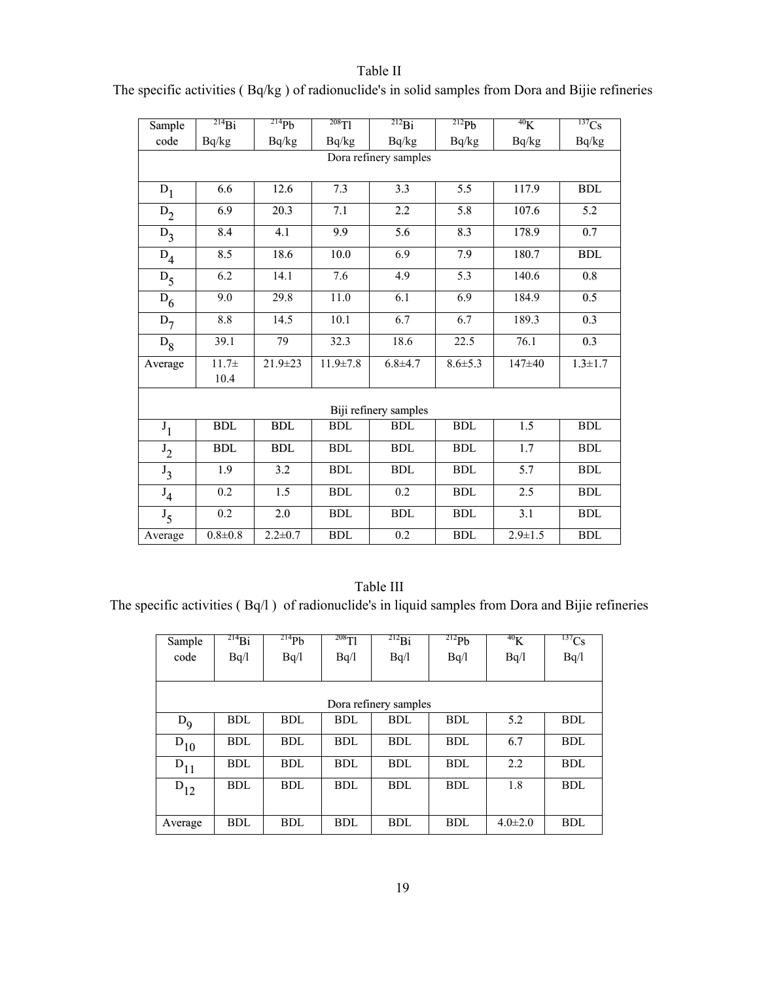| Sample         | $^{214}Bi$            | $^{214}Pb$    | $208$ Tl             | $^{212}Bi$       | $^{212}Pb$           | 40 <sub>K</sub> | $\overline{^{137}Cs}$ |
|----------------|-----------------------|---------------|----------------------|------------------|----------------------|-----------------|-----------------------|
| code           | Bq/kg                 | Bq/kg         | Bq/kg                | Bq/kg            | Bq/kg                | Bq/kg           | Bq/kg                 |
|                | Dora refinery samples |               |                      |                  |                      |                 |                       |
|                |                       |               |                      |                  |                      |                 |                       |
| $D_1$          | 6.6                   | 12.6          | 7.3                  | 3.3              | 5.5                  | 117.9           | <b>BDL</b>            |
| $D_2$          | 6.9                   | 20.3          | 7.1                  | 2.2              | 5.8                  | 107.6           | 5.2                   |
| $D_3$          | 8.4                   | 4.1           | 9.9                  | 5.6              | 8.3                  | 178.9           | 0.7                   |
| $D_4$          | 8.5                   | 18.6          | 10.0                 | 6.9              | 7.9                  | 180.7           | <b>BDL</b>            |
| $D_5$          | 6.2                   | 14.1          | 7.6                  | 4.9              | 5.3                  | 140.6           | $0.8\,$               |
| $D_6$          | 9.0                   | 29.8          | 11.0                 | $\overline{6.1}$ | 6.9                  | 184.9           | 0.5                   |
| $D_7$          | 8.8                   | 14.5          | 10.1                 | 6.7              | 6.7                  | 189.3           | 0.3                   |
| $D_8$          | 39.1                  | 79            | 32.3                 | 18.6             | 22.5                 | 76.1            | 0.3                   |
| Average        | $11.7 +$              | $21.9 \pm 23$ | $11.9 \pm 7.8$       | $6.8 + 4.7$      | $8.6 \pm 5.3$        | 147±40          | $1.3 \pm 1.7$         |
|                | 10.4                  |               |                      |                  |                      |                 |                       |
|                |                       |               |                      |                  |                      |                 |                       |
|                | Biji refinery samples |               |                      |                  |                      |                 |                       |
| $J_1$          | <b>BDL</b>            | <b>BDL</b>    | <b>BDL</b>           | <b>BDL</b>       | <b>BDL</b>           | 1.5             | <b>BDL</b>            |
| $J_2$          | <b>BDL</b>            | <b>BDL</b>    | <b>BDL</b>           | <b>BDL</b>       | <b>BDL</b>           | 1.7             | <b>BDL</b>            |
| $J_3$          | 1.9                   | 3.2           | <b>BDL</b>           | <b>BDL</b>       | <b>BDL</b>           | 5.7             | ${\bf BDL}$           |
| $\mathrm{J}_4$ | 0.2                   | 1.5           | $\operatorname{BDL}$ | 0.2              | $\operatorname{BDL}$ | 2.5             | ${\bf BDL}$           |
| $J_5$          | 0.2                   | 2.0           | <b>BDL</b>           | <b>BDL</b>       | <b>BDL</b>           | 3.1             | <b>BDL</b>            |
| Average        | $0.8 + 0.8$           | $2.2 \pm 0.7$ | <b>BDL</b>           | 0.2              | <b>BDL</b>           | $2.9 \pm 1.5$   | <b>BDL</b>            |

# Table II The specific activities ( Bq/kg ) of radionuclide's in solid samples from Dora and Bijie refineries

# Table III

The specific activities ( Bq/l ) of radionuclide's in liquid samples from Dora and Bijie refineries

| Sample   | $^{214}Bi$ | $^{214}Pb$ | $^{208}$ Tl | $^{212}Bi$            | $^{212}Pb$ | 40 <sub>K</sub> | $^{137}Cs$ |
|----------|------------|------------|-------------|-----------------------|------------|-----------------|------------|
| code     | Bq/1       | Bq/1       | Bq/1        | Bq/1                  | Bq/1       | Bq/l            | Bq/l       |
|          |            |            |             |                       |            |                 |            |
|          |            |            |             |                       |            |                 |            |
|          |            |            |             | Dora refinery samples |            |                 |            |
| $D_{9}$  | BDL        | <b>BDL</b> | <b>BDL</b>  | <b>BDL</b>            | <b>BDL</b> | 5.2             | <b>BDL</b> |
| $D_{10}$ | BDL        | BDL        | <b>BDL</b>  | BDL                   | <b>BDL</b> | 6.7             | <b>BDL</b> |
| $D_{11}$ | BDL        | <b>BDL</b> | <b>BDL</b>  | BDL                   | <b>BDL</b> | 2.2             | <b>BDL</b> |
| $D_{12}$ | BDL        | <b>BDL</b> | <b>BDL</b>  | BDL                   | <b>BDL</b> | 1.8             | <b>BDL</b> |
|          |            |            |             |                       |            |                 |            |
| Average  | <b>BDL</b> | <b>BDL</b> | <b>BDL</b>  | <b>BDL</b>            | <b>BDL</b> | $4.0 \pm 2.0$   | <b>BDL</b> |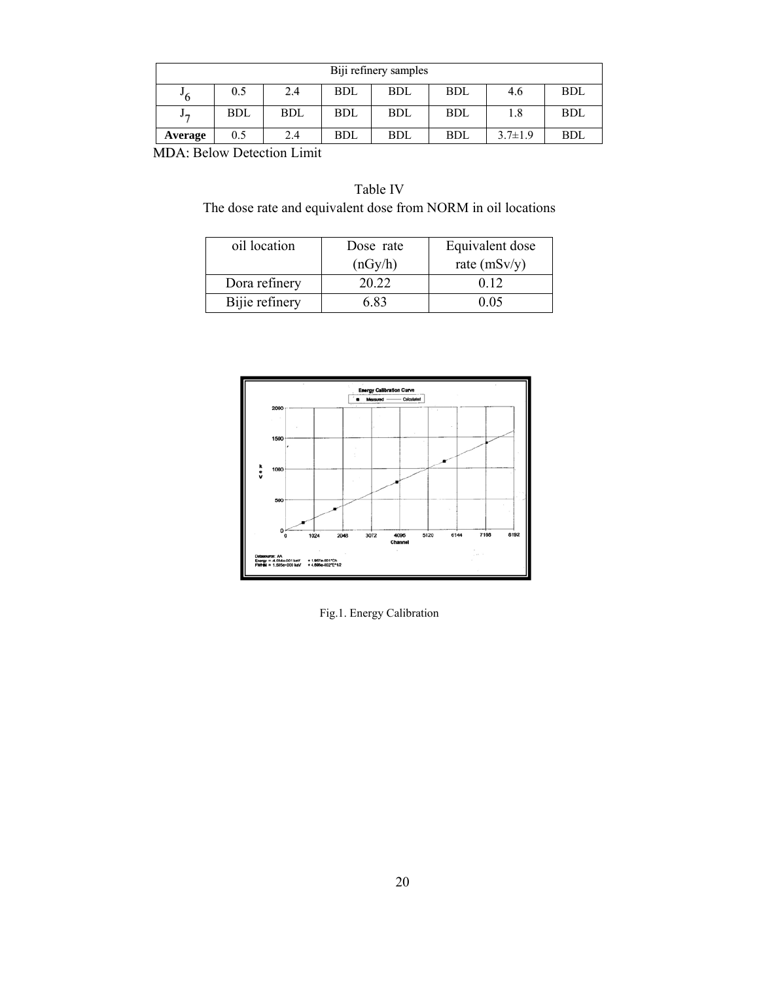| Biji refinery samples |            |            |            |            |            |               |            |
|-----------------------|------------|------------|------------|------------|------------|---------------|------------|
| -6                    | 0.5        | 2.4        | <b>BDL</b> | <b>BDL</b> | <b>BDL</b> | 4.6           | <b>BDL</b> |
| Jŋ                    | <b>BDL</b> | <b>BDL</b> | BDL        | <b>BDL</b> | BDL        | 1.8           | <b>BDL</b> |
| Average               | 0.5        | 2.4        | BDL        | <b>BDL</b> | BDL        | $3.7 \pm 1.9$ | <b>BDL</b> |

MDA: Below Detection Limit :

Table IV The dose rate and equivalent dose from NORM in oil locations

| oil location   | Dose rate | Equivalent dose |  |  |
|----------------|-----------|-----------------|--|--|
|                | (nGy/h)   | rate $(mSv/y)$  |  |  |
| Dora refinery  | 20 22     | 0.12            |  |  |
| Bijie refinery | 683       | 0.05            |  |  |



Fig.1. Energy Calibration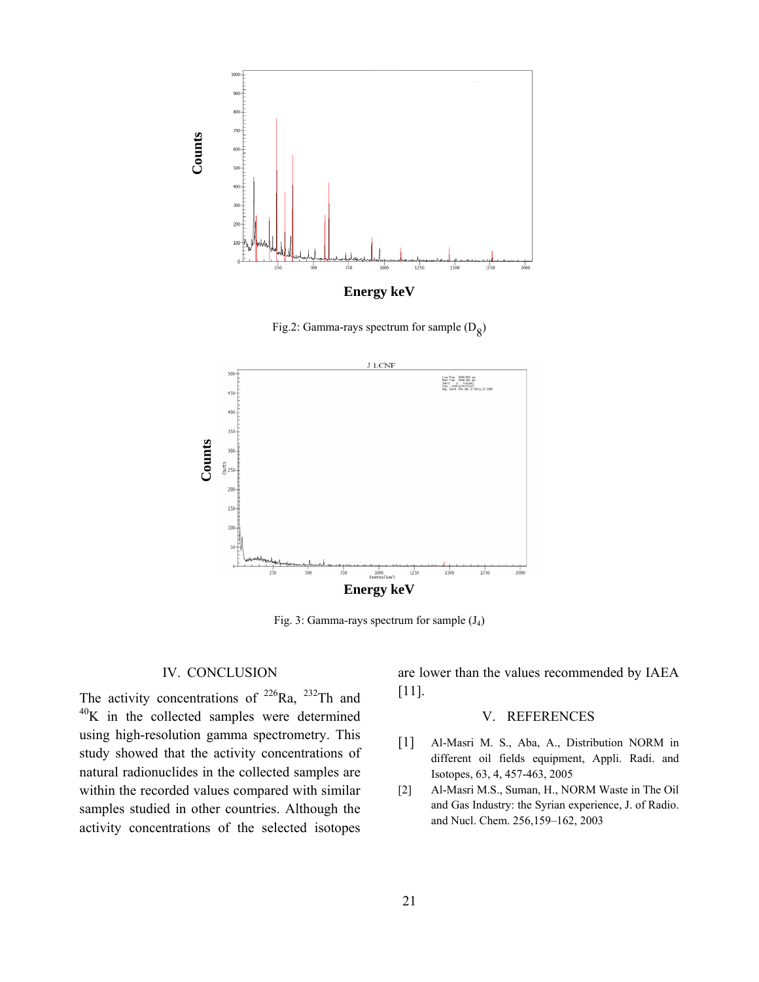

Fig.2: Gamma-rays spectrum for sample  $(D_8)$ 



Fig. 3: Gamma-rays spectrum for sample  $(J_4)$ 

## IV. CONCLUSION

The activity concentrations of  $226$ Ra,  $232$ Th and <sup>40</sup>K in the collected samples were determined using high-resolution gamma spectrometry. This study showed that the activity concentrations of natural radionuclides in the collected samples are within the recorded values compared with similar samples studied in other countries. Although the activity concentrations of the selected isotopes

are lower than the values recommended by IAEA [11].

## V. REFERENCES

- [1] Al-Masri M. S., Aba, A., Distribution NORM in different oil fields equipment, Appli. Radi. and Isotopes, 63, 4, 457-463, 2005
- [2] Al-Masri M.S., Suman, H., NORM Waste in The Oil and Gas Industry: the Syrian experience, J. of Radio. and Nucl. Chem. 256,159–162, 2003